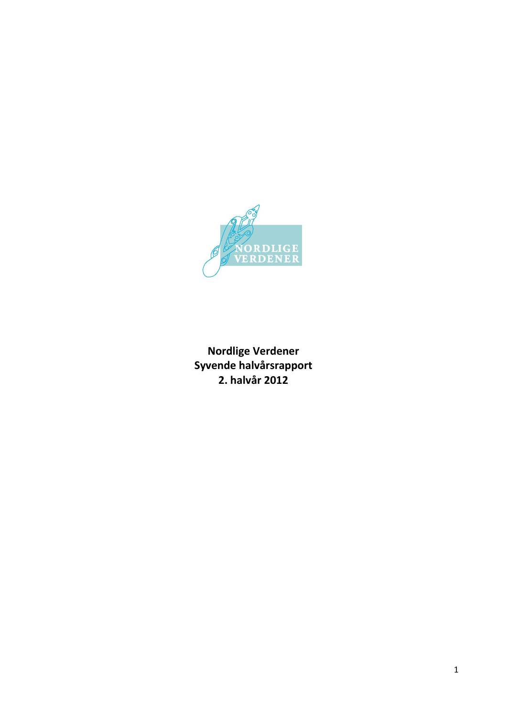

**Nordlige Verdener Syvende halvårsrapport 2. halvår 2012**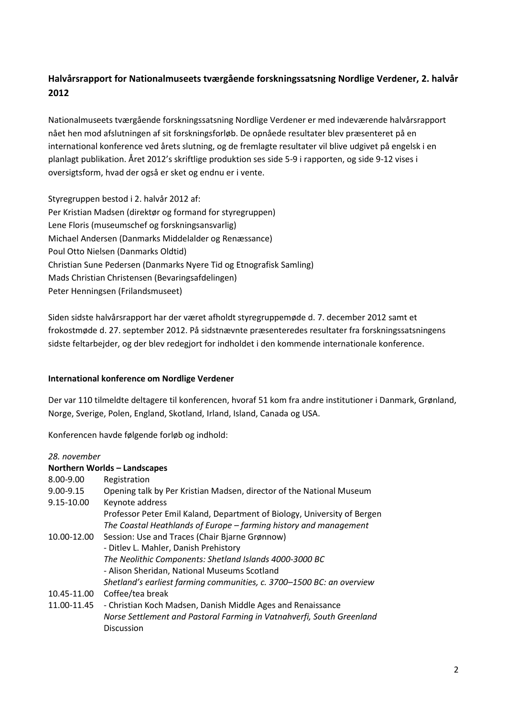# **Halvårsrapport for Nationalmuseets tværgående forskningssatsning Nordlige Verdener, 2. halvår 2012**

Nationalmuseets tværgående forskningssatsning Nordlige Verdener er med indeværende halvårsrapport nået hen mod afslutningen af sit forskningsforløb. De opnåede resultater blev præsenteret på en international konference ved årets slutning, og de fremlagte resultater vil blive udgivet på engelsk i en planlagt publikation. Året 2012's skriftlige produktion ses side 5-9 i rapporten, og side 9-12 vises i oversigtsform, hvad der også er sket og endnu er i vente.

Styregruppen bestod i 2. halvår 2012 af: Per Kristian Madsen (direktør og formand for styregruppen) Lene Floris (museumschef og forskningsansvarlig) Michael Andersen (Danmarks Middelalder og Renæssance) Poul Otto Nielsen (Danmarks Oldtid) Christian Sune Pedersen (Danmarks Nyere Tid og Etnografisk Samling) Mads Christian Christensen (Bevaringsafdelingen) Peter Henningsen (Frilandsmuseet)

Siden sidste halvårsrapport har der været afholdt styregruppemøde d. 7. december 2012 samt et frokostmøde d. 27. september 2012. På sidstnævnte præsenteredes resultater fra forskningssatsningens sidste feltarbejder, og der blev redegjort for indholdet i den kommende internationale konference.

# **International konference om Nordlige Verdener**

Der var 110 tilmeldte deltagere til konferencen, hvoraf 51 kom fra andre institutioner i Danmark, Grønland, Norge, Sverige, Polen, England, Skotland, Irland, Island, Canada og USA.

Konferencen havde følgende forløb og indhold:

| 28. november                                                             |
|--------------------------------------------------------------------------|
| Northern Worlds - Landscapes                                             |
| Registration                                                             |
| Opening talk by Per Kristian Madsen, director of the National Museum     |
| Keynote address                                                          |
| Professor Peter Emil Kaland, Department of Biology, University of Bergen |
| The Coastal Heathlands of Europe - farming history and management        |
| Session: Use and Traces (Chair Bjarne Grønnow)                           |
| - Ditlev L. Mahler, Danish Prehistory                                    |
| The Neolithic Components: Shetland Islands 4000-3000 BC                  |
| - Alison Sheridan, National Museums Scotland                             |
| Shetland's earliest farming communities, c. 3700-1500 BC: an overview    |
| Coffee/tea break                                                         |
| - Christian Koch Madsen, Danish Middle Ages and Renaissance              |
| Norse Settlement and Pastoral Farming in Vatnahverfi, South Greenland    |
| Discussion                                                               |
|                                                                          |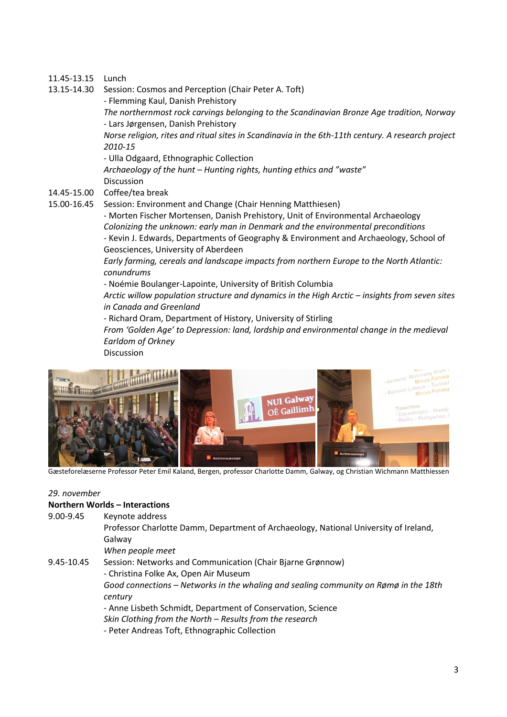# 11.45-13.15 Lunch

13.15-14.30 Session: Cosmos and Perception (Chair Peter A. Toft)

- Flemming Kaul, Danish Prehistory

*The northernmost rock carvings belonging to the Scandinavian Bronze Age tradition, Norway* - Lars Jørgensen, Danish Prehistory

*Norse religion, rites and ritual sites in Scandinavia in the 6th-11th century. A research project 2010-15*

- Ulla Odgaard, Ethnographic Collection

*Archaeology of the hunt – Hunting rights, hunting ethics and "waste"* Discussion

- 14.45-15.00 Coffee/tea break
- 15.00-16.45 Session: Environment and Change (Chair Henning Matthiesen)

- Morten Fischer Mortensen, Danish Prehistory, Unit of Environmental Archaeology *Colonizing the unknown: early man in Denmark and the environmental preconditions* - Kevin J. Edwards, Departments of Geography & Environment and Archaeology, School of Geosciences, University of Aberdeen

*Early farming, cereals and landscape impacts from northern Europe to the North Atlantic: conundrums*

- Noémie Boulanger-Lapointe, University of British Columbia

*Arctic willow population structure and dynamics in the High Arctic – insights from seven sites in Canada and Greenland*

- Richard Oram, Department of History, University of Stirling

*From 'Golden Age' to Depression: land, lordship and environmental change in the medieval Earldom of Orkney*

Discussion



Gæsteforelæserne Professor Peter Emil Kaland, Bergen, professor Charlotte Damm, Galway, og Christian Wichmann Matthiessen

#### *29. november*

#### **Northern Worlds – Interactions**

| 9.00-9.45 | Keynote address |
|-----------|-----------------|
|           |                 |

Professor Charlotte Damm, Department of Archaeology, National University of Ireland, Galway

*When people meet*

#### 9.45-10.45 Session: Networks and Communication (Chair Bjarne Grønnow) - Christina Folke Ax, Open Air Museum

*Good connections – Networks in the whaling and sealing community on Rømø in the 18th century*

- Anne Lisbeth Schmidt, Department of Conservation, Science

*Skin Clothing from the North – Results from the research*

- Peter Andreas Toft, Ethnographic Collection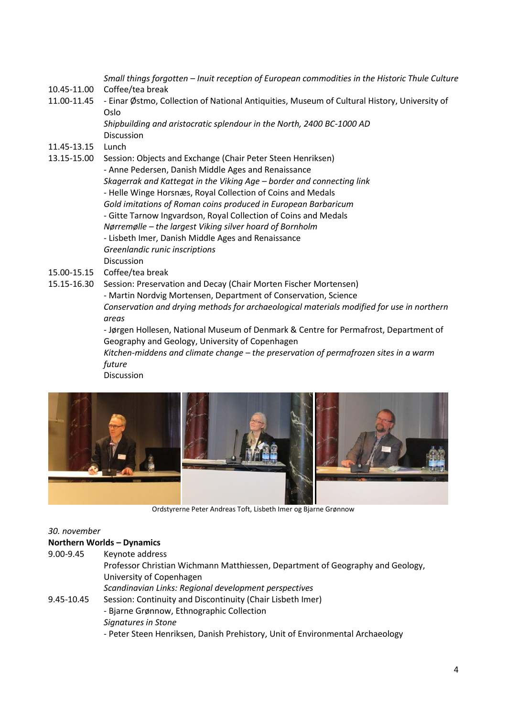*Small things forgotten – Inuit reception of European commodities in the Historic Thule Culture*

- 10.45-11.00 Coffee/tea break
- 11.00-11.45 Einar Østmo, Collection of National Antiquities, Museum of Cultural History, University of Oslo

*Shipbuilding and aristocratic splendour in the North, 2400 BC-1000 AD* Discussion

- 11.45-13.15 Lunch
- 13.15-15.00 Session: Objects and Exchange (Chair Peter Steen Henriksen) - Anne Pedersen, Danish Middle Ages and Renaissance *Skagerrak and Kattegat in the Viking Age – border and connecting link* - Helle Winge Horsnæs, Royal Collection of Coins and Medals *Gold imitations of Roman coins produced in European Barbaricum* - Gitte Tarnow Ingvardson, Royal Collection of Coins and Medals *Nørremølle – the largest Viking silver hoard of Bornholm* - Lisbeth Imer, Danish Middle Ages and Renaissance *Greenlandic runic inscriptions* Discussion
- 15.00-15.15 Coffee/tea break

15.15-16.30 Session: Preservation and Decay (Chair Morten Fischer Mortensen) - Martin Nordvig Mortensen, Department of Conservation, Science *Conservation and drying methods for archaeological materials modified for use in northern areas* - Jørgen Hollesen, National Museum of Denmark & Centre for Permafrost, Department of

> Geography and Geology, University of Copenhagen *Kitchen-middens and climate change – the preservation of permafrozen sites in a warm future*

Discussion



Ordstyrerne Peter Andreas Toft, Lisbeth Imer og Bjarne Grønnow

#### *30. november*

#### **Northern Worlds – Dynamics**

| Keynote address                                                                |
|--------------------------------------------------------------------------------|
| Professor Christian Wichmann Matthiessen, Department of Geography and Geology, |
| University of Copenhagen                                                       |
| Scandinavian Links: Regional development perspectives                          |
| Session: Continuity and Discontinuity (Chair Lisbeth Imer)                     |
| - Bjarne Grønnow, Ethnographic Collection                                      |
| Signatures in Stone                                                            |
| - Peter Steen Henriksen, Danish Prehistory, Unit of Environmental Archaeology  |
|                                                                                |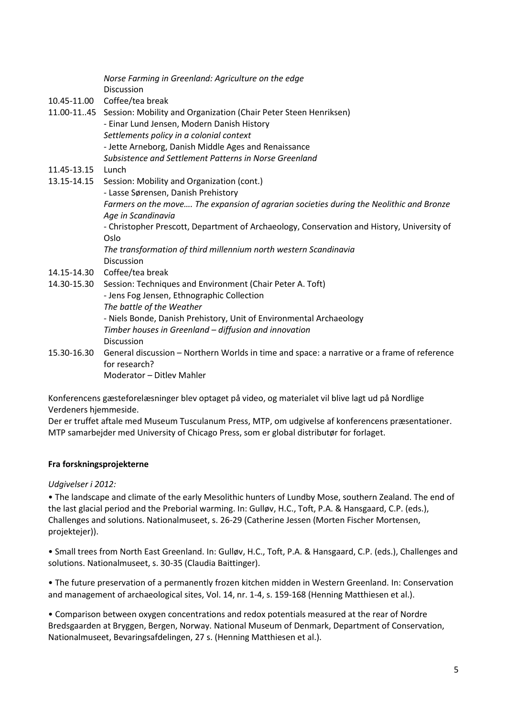|             | Norse Farming in Greenland: Agriculture on the edge<br><b>Discussion</b>                    |
|-------------|---------------------------------------------------------------------------------------------|
|             | 10.45-11.00 Coffee/tea break                                                                |
|             | 11.00-1145 Session: Mobility and Organization (Chair Peter Steen Henriksen)                 |
|             | - Einar Lund Jensen, Modern Danish History                                                  |
|             |                                                                                             |
|             | Settlements policy in a colonial context                                                    |
|             | - Jette Arneborg, Danish Middle Ages and Renaissance                                        |
|             | Subsistence and Settlement Patterns in Norse Greenland                                      |
| 11.45-13.15 | Lunch                                                                                       |
| 13.15-14.15 | Session: Mobility and Organization (cont.)                                                  |
|             | - Lasse Sørensen, Danish Prehistory                                                         |
|             | Farmers on the move The expansion of agrarian societies during the Neolithic and Bronze     |
|             | Age in Scandinavia                                                                          |
|             | - Christopher Prescott, Department of Archaeology, Conservation and History, University of  |
|             | Oslo                                                                                        |
|             | The transformation of third millennium north western Scandinavia                            |
|             | <b>Discussion</b>                                                                           |
| 14.15-14.30 | Coffee/tea break                                                                            |
| 14.30-15.30 | Session: Techniques and Environment (Chair Peter A. Toft)                                   |
|             | - Jens Fog Jensen, Ethnographic Collection                                                  |
|             | The battle of the Weather                                                                   |
|             | - Niels Bonde, Danish Prehistory, Unit of Environmental Archaeology                         |
|             | Timber houses in Greenland - diffusion and innovation                                       |
|             | <b>Discussion</b>                                                                           |
| 15.30-16.30 | General discussion - Northern Worlds in time and space: a narrative or a frame of reference |
|             | for research?                                                                               |
|             | Moderator – Ditley Mahler                                                                   |

Konferencens gæsteforelæsninger blev optaget på video, og materialet vil blive lagt ud på Nordlige Verdeners hjemmeside.

Der er truffet aftale med Museum Tusculanum Press, MTP, om udgivelse af konferencens præsentationer. MTP samarbejder med University of Chicago Press, som er global distributør for forlaget.

# **Fra forskningsprojekterne**

#### *Udgivelser i 2012:*

• The landscape and climate of the early Mesolithic hunters of Lundby Mose, southern Zealand. The end of the last glacial period and the Preborial warming. In: Gulløv, H.C., Toft, P.A. & Hansgaard, C.P. (eds.), Challenges and solutions. Nationalmuseet, s. 26-29 (Catherine Jessen (Morten Fischer Mortensen, projektejer)).

• Small trees from North East Greenland. In: Gulløv, H.C., Toft, P.A. & Hansgaard, C.P. (eds.), Challenges and solutions. Nationalmuseet, s. 30-35 (Claudia Baittinger).

• [The future preservation of a permanently frozen kitchen midden in Western Greenland.](http://forskning.natmus.dk/research/the_future_preservation_of_a_permanently_frozen_kitchen_midden_in_western_greenland(32172)/) In: Conservation and management of archaeological sites, Vol. 14, nr. 1-4, s. 159-168 (Henning Matthiesen et al.).

• [Comparison between oxygen concentrations and redox potentials measured at the rear of Nordre](http://forskning.natmus.dk/research/comparison_between_oxygen_concentrations_and_redox_potentials_measured_at_the_rear_of_nordre_bredsgaarden_at_bryggen_bergen_norway(32181)/)  [Bredsgaarden at Bryggen, Bergen, Norway.](http://forskning.natmus.dk/research/comparison_between_oxygen_concentrations_and_redox_potentials_measured_at_the_rear_of_nordre_bredsgaarden_at_bryggen_bergen_norway(32181)/) National Museum of Denmark, Department of Conservation, Nationalmuseet, Bevaringsafdelingen, 27 s. (Henning Matthiesen et al.).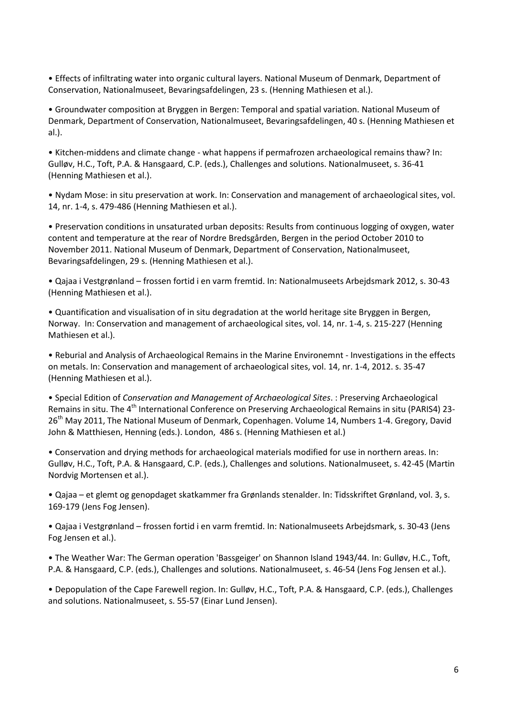• [Effects of infiltrating water into organic cultural layers.](http://forskning.natmus.dk/research/effects_of_infiltrating_water_into_organic_cultural_layers(32175)/) National Museum of Denmark, Department of Conservation, Nationalmuseet, Bevaringsafdelingen, 23 s. (Henning Mathiesen et al.).

• [Groundwater composition at Bryggen in Bergen: Temporal and spatial variation.](http://forskning.natmus.dk/research/groundwater_composition_at_bryggen_in_bergen_temporal_and_spatial_variation_september_2012(32177)/) National Museum of Denmark, Department of Conservation, Nationalmuseet, Bevaringsafdelingen, 40 s. (Henning Mathiesen et al.).

• Kitchen-middens and climate change - [what happens if permafrozen archaeological remains thaw?](http://forskning.natmus.dk/research/kitchenmiddens_and_climate_change_what_happens_if_permafrozen_archaeological_remains_thaw(32183)/) In: Gulløv, H.C., Toft, P.A. & Hansgaard, C.P. (eds.), Challenges and solutions. Nationalmuseet, s. 36-41 (Henning Mathiesen et al.).

• [Nydam Mose: in situ preservation at work.](http://forskning.natmus.dk/research/nydam_mose_in_situ_preservation_at_work(32166)/) In: Conservation and management of archaeological sites, vol. 14, nr. 1-4, s. 479-486 (Henning Mathiesen et al.).

• [Preservation conditions in unsaturated urban deposits: Results from continuous logging of oxygen, water](http://forskning.natmus.dk/research/preservation_conditions_in_unsaturated_urban_deposits_results_from_continuous_logging_of_oxygen_water_content_and_temperature_at_the_rear_of_nordre_bredsgaarden_bergen_in_the_period_october_2010_to_november_2011(32179)/)  [content and temperature at the rear of Nordre Bredsgården, Bergen in the period October 2010 to](http://forskning.natmus.dk/research/preservation_conditions_in_unsaturated_urban_deposits_results_from_continuous_logging_of_oxygen_water_content_and_temperature_at_the_rear_of_nordre_bredsgaarden_bergen_in_the_period_october_2010_to_november_2011(32179)/)  [November 2011.](http://forskning.natmus.dk/research/preservation_conditions_in_unsaturated_urban_deposits_results_from_continuous_logging_of_oxygen_water_content_and_temperature_at_the_rear_of_nordre_bredsgaarden_bergen_in_the_period_october_2010_to_november_2011(32179)/) National Museum of Denmark, Department of Conservation, Nationalmuseet, Bevaringsafdelingen, 29 s. (Henning Mathiesen et al.).

• Qajaa i Vestgrønland – [frossen fortid i en varm fremtid.](http://forskning.natmus.dk/research/qajaa_i_vestgroenland(31933)/) In: Nationalmuseets Arbejdsmark 2012, s. 30-43 (Henning Mathiesen et al.).

• [Quantification and visualisation of in situ degradation at the world heritage site Bryggen in Bergen,](http://forskning.natmus.dk/research/quantification_and_visualisation_of_in_situ_degradation_at_the_world_heritage_site_bryggen_in_bergen_norway(32168)/)  [Norway.](http://forskning.natmus.dk/research/quantification_and_visualisation_of_in_situ_degradation_at_the_world_heritage_site_bryggen_in_bergen_norway(32168)/) In: Conservation and management of archaeological sites, vol. 14, nr. 1-4, s. 215-227 (Henning Mathiesen et al.).

• [Reburial and Analysis of Archaeological Remains in the Marine Environemnt -](http://forskning.natmus.dk/research/reburial_and_analysis_of_archaeological_remains_in_the_marine_environemnt_investigations_in_the_effects_on_metals(32158)/) Investigations in the effects [on metals.](http://forskning.natmus.dk/research/reburial_and_analysis_of_archaeological_remains_in_the_marine_environemnt_investigations_in_the_effects_on_metals(32158)/) In: Conservation and management of archaeological sites, vol. 14, nr. 1-4, 2012. s. 35-47 (Henning Mathiesen et al.).

• Special Edition of *[Conservation and Management of Archaeological Sites](http://forskning.natmus.dk/research/special_edition_of_conservation_and_management_of_archaeological_sites(32154)/)*. : Preserving Archaeological Remains in situ. The 4<sup>th</sup> [International Conference on Preserving Archaeological Remains in situ \(PARIS4\) 23-](http://forskning.natmus.dk/research/special_edition_of_conservation_and_management_of_archaeological_sites(32154)/) 26<sup>th</sup> [May 2011, The National Museum of Denmark, Copenhagen. Volume 14, Numbers 1-4.](http://forskning.natmus.dk/research/special_edition_of_conservation_and_management_of_archaeological_sites(32154)/) [Gregory, David](http://forskning.natmus.dk/research/gregory_david_john(45)/) [John](http://forskning.natmus.dk/research/gregory_david_john(45)/) & [Matthiesen, Henning \(eds.\).](http://forskning.natmus.dk/research/matthiesen_henning(51)/) London, 486 s. (Henning Mathiesen et al.)

• Conservation and drying methods for archaeological materials modified for use in northern areas. In: Gulløv, H.C., Toft, P.A. & Hansgaard, C.P. (eds.), Challenges and solutions. Nationalmuseet, s. 42-45 (Martin Nordvig Mortensen et al.).

• Qajaa – [et glemt og genopdaget skatkammer fra Grønlands stenalder.](http://forskning.natmus.dk/research/qajaa_et_glemt_og_genopdaget_skatkammer_fra_groenlands_stenalder(31955)/) In: Tidsskriftet Grønland, vol. 3, s. 169-179 (Jens Fog Jensen).

• Qajaa i Vestgrønland – [frossen fortid i en varm fremtid.](http://forskning.natmus.dk/research/qajaa_i_vestgroenland(31933)/) In: Nationalmuseets Arbejdsmark, s. 30-43 (Jens Fog Jensen et al.).

• [The Weather War: The German operation 'Bassgeiger' on Shannon Island 1943/44.](http://forskning.natmus.dk/research/the_weather_war_the_german_operation_bassgeiger_on_shannon_island_194344(32058)/) In: Gulløv, H.C., Toft, P.A. & Hansgaard, C.P. (eds.), Challenges and solutions. Nationalmuseet, s. 46-54 (Jens Fog Jensen et al.).

• Depopulation of the Cape Farewell region. In: Gulløv, H.C., Toft, P.A. & Hansgaard, C.P. (eds.), Challenges and solutions. Nationalmuseet, s. 55-57 (Einar Lund Jensen).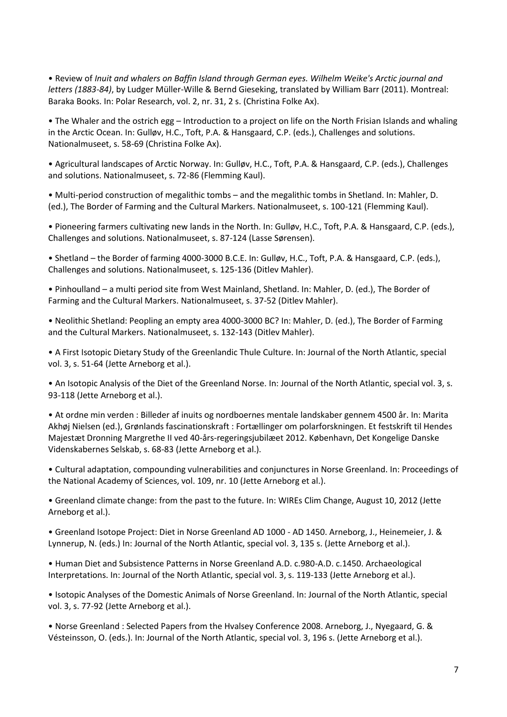• Review of *[Inuit and whalers on Baffin Island through German eyes. Wilhelm Weike's Arctic journal and](http://forskning.natmus.dk/research/review_of_inuit_and_whalers_on_baffin_island_through_german_eyes_wilhelm_weikes_arctic_journal_and_letters_188384_by_ludger_mullerwille_bernd_gieseking_translated_by_william_barr_2011_montreal_baraka_books(32007)/)  letters (1883-84)*[, by Ludger Müller-Wille & Bernd Gieseking, translated by William Barr \(2011\). Montreal:](http://forskning.natmus.dk/research/review_of_inuit_and_whalers_on_baffin_island_through_german_eyes_wilhelm_weikes_arctic_journal_and_letters_188384_by_ludger_mullerwille_bernd_gieseking_translated_by_william_barr_2011_montreal_baraka_books(32007)/)  [Baraka Books.](http://forskning.natmus.dk/research/review_of_inuit_and_whalers_on_baffin_island_through_german_eyes_wilhelm_weikes_arctic_journal_and_letters_188384_by_ludger_mullerwille_bernd_gieseking_translated_by_william_barr_2011_montreal_baraka_books(32007)/) In: Polar Research, vol. 2, nr. 31, 2 s. (Christina Folke Ax).

• The Whaler and the ostrich egg – [Introduction to a project on life on the North Frisian Islands and whaling](http://forskning.natmus.dk/research/the_whaler_and_the_ostrich_egg_introduction_to_a_project_on_life_on_the_north_frisian_islands_and_whaling_in_the_arctic_ocean(32005)/)  [in the Arctic Ocean.](http://forskning.natmus.dk/research/the_whaler_and_the_ostrich_egg_introduction_to_a_project_on_life_on_the_north_frisian_islands_and_whaling_in_the_arctic_ocean(32005)/) In: Gulløv, H.C., Toft, P.A. & Hansgaard, C.P. (eds.), Challenges and solutions. Nationalmuseet, s. 58-69 (Christina Folke Ax).

• Agricultural landscapes of Arctic Norway. In: Gulløv, H.C., Toft, P.A. & Hansgaard, C.P. (eds.), Challenges and solutions. Nationalmuseet, s. 72-86 (Flemming Kaul).

• Multi-period construction of megalithic tombs – and the megalithic tombs in Shetland. In: Mahler, D. (ed.), The Border of Farming and the Cultural Markers. Nationalmuseet, s. 100-121 (Flemming Kaul).

• Pioneering farmers cultivating new lands in the North. In: Gulløv, H.C., Toft, P.A. & Hansgaard, C.P. (eds.), Challenges and solutions. Nationalmuseet, s. 87-124 (Lasse Sørensen).

• Shetland – the Border of farming 4000-3000 B.C.E. In: Gulløv, H.C., Toft, P.A. & Hansgaard, C.P. (eds.), Challenges and solutions. Nationalmuseet, s. 125-136 (Ditlev Mahler).

• Pinhoulland – a multi period site from West Mainland, Shetland. In: Mahler, D. (ed.), The Border of Farming and the Cultural Markers. Nationalmuseet, s. 37-52 (Ditlev Mahler).

• Neolithic Shetland: Peopling an empty area 4000-3000 BC? In: Mahler, D. (ed.), The Border of Farming and the Cultural Markers. Nationalmuseet, s. 132-143 (Ditlev Mahler).

• [A First Isotopic Dietary Study of the Greenlandic Thule Culture.](http://forskning.natmus.dk/research/a_first_isotopic_dietary_study_of_the_greenlandic_thule_culture(31768)/) In: Journal of the North Atlantic, special vol. 3, s. 51-64 (Jette Arneborg et al.).

• [An Isotopic Analysis of the Diet of the Greenland Norse.](http://forskning.natmus.dk/research/an_isotopic_analysis_of_the_diet_of_the_greenland_norse(31772)/) In: Journal of the North Atlantic, special vol. 3, s. 93-118 (Jette Arneborg et al.).

• [At ordne min verden : Billeder af inuits og nordboernes mentale landskaber gennem 4500 år.](http://forskning.natmus.dk/research/at_ordne_min_verden(31685)/) In: Marita Akhøj Nielsen (ed.), Grønlands fascinationskraft : Fortællinger om polarforskningen. Et festskrift til Hendes Majestæt Dronning Margrethe II ved 40-års-regeringsjubilæet 2012. København, Det Kongelige Danske Videnskabernes Selskab, s. 68-83 (Jette Arneborg et al.).

• [Cultural adaptation, compounding vulnerabilities and conjunctures in Norse Greenland.](http://forskning.natmus.dk/research/cultural_adaptation_compounding_vulnerabilities_and_conjunctures_in_norse_greenland(31460)/) In: Proceedings of the National Academy of Sciences, vol. 109, nr. 10 (Jette Arneborg et al.).

• [Greenland climate change: from the past to the future.](http://forskning.natmus.dk/research/greenland_climate_change_from_the_past_to_the_future(31539)/) In: WIREs Clim Change, August 10, 2012 (Jette Arneborg et al.).

• [Greenland Isotope Project: Diet in Norse Greenland AD 1000 -](http://forskning.natmus.dk/research/greenland_isotope_project_diet_in_norse_greenland_ad_1000_ad_1450(31722)/) AD 1450. [Arneborg, J.,](http://forskning.natmus.dk/research/arneborg_pedersen_jette(69)/) Heinemeier, J. & Lynnerup, N. (eds.) In: Journal of the North Atlantic, special vol. 3, 135 s. (Jette Arneborg et al.).

• [Human Diet and Subsistence Patterns in Norse Greenland A.D. c.980-A.D. c.1450. Archaeological](http://forskning.natmus.dk/research/human_diet_and_subsistence_patterns_in_norse_greenland_ad_c980ad_c1450_archaeological_interpretations(31774)/)  [Interpretations.](http://forskning.natmus.dk/research/human_diet_and_subsistence_patterns_in_norse_greenland_ad_c980ad_c1450_archaeological_interpretations(31774)/) In: Journal of the North Atlantic, special vol. 3, s. 119-133 (Jette Arneborg et al.).

• [Isotopic Analyses of the Domestic Animals of Norse Greenland.](http://forskning.natmus.dk/research/isotopic_analyses_of_the_domestic_animals_of_norse_greenland(31770)/) In: Journal of the North Atlantic, special vol. 3, s. 77-92 (Jette Arneborg et al.).

• [Norse Greenland : Selected Papers from the Hvalsey Conference 2008.](http://forskning.natmus.dk/research/norse_greenland(31454)/) [Arneborg, J., N](http://forskning.natmus.dk/research/arneborg_pedersen_jette(69)/)yegaard, G. & Vésteinsson, O. (eds.). In: Journal of the North Atlantic, special vol. 3, 196 s. (Jette Arneborg et al.).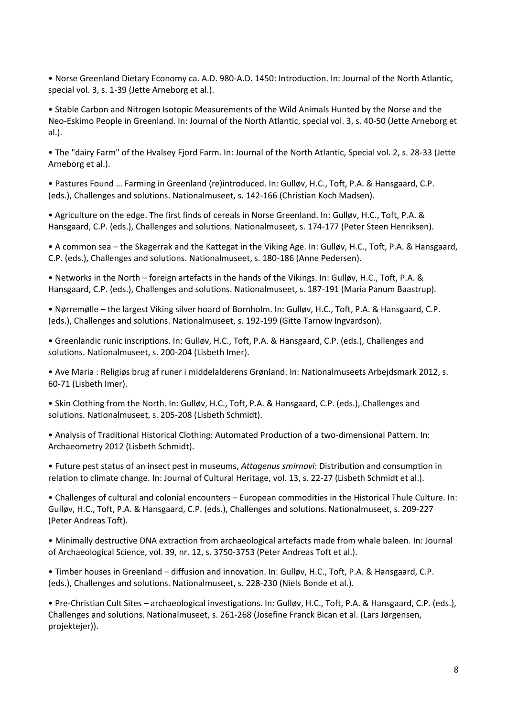• [Norse Greenland Dietary Economy ca. A.D. 980-A.D. 1450: Introduction.](http://forskning.natmus.dk/research/norse_greenland_dietary_economy_ca_ad_980_ad_1450(31726)/) In: Journal of the North Atlantic, special vol. 3, s. 1-39 (Jette Arneborg et al.).

• [Stable Carbon and Nitrogen Isotopic Measurements of the Wild Animals Hunted by the Norse and the](http://forskning.natmus.dk/research/stable_carbon_and_nitrogen_isotopic_measurements_of_the_wild_animals_hunted_by_the_norse_and_the_neoeskimo_people_in_greenland(31728)/)  [Neo-Eskimo People in Greenland.](http://forskning.natmus.dk/research/stable_carbon_and_nitrogen_isotopic_measurements_of_the_wild_animals_hunted_by_the_norse_and_the_neoeskimo_people_in_greenland(31728)/) In: Journal of the North Atlantic, special vol. 3, s. 40-50 (Jette Arneborg et al.).

• [The "dairy Farm" of the Hvalsey Fjord Farm.](http://forskning.natmus.dk/research/the_dairy_farm_of_the_hvalsey_fjord_farm(31453)/) In: Journal of the North Atlantic, Special vol. 2, s. 28-33 (Jette Arneborg et al.).

• Pastures Found … Farming in Greenland (re)introduced. In: Gulløv, H.C., Toft, P.A. & Hansgaard, C.P. (eds.), Challenges and solutions. Nationalmuseet, s. 142-166 (Christian Koch Madsen).

• Agriculture on the edge. The first finds of cereals in Norse Greenland. In: Gulløv, H.C., Toft, P.A. & Hansgaard, C.P. (eds.), Challenges and solutions. Nationalmuseet, s. 174-177 (Peter Steen Henriksen).

• A common sea – the Skagerrak and the Kattegat in the Viking Age. In: Gulløv, H.C., Toft, P.A. & Hansgaard, C.P. (eds.), Challenges and solutions. Nationalmuseet, s. 180-186 (Anne Pedersen).

• Networks in the North – foreign artefacts in the hands of the Vikings. In: Gulløv, H.C., Toft, P.A. & Hansgaard, C.P. (eds.), Challenges and solutions. Nationalmuseet, s. 187-191 (Maria Panum Baastrup).

• Nørremølle – the largest Viking silver hoard of Bornholm. In: Gulløv, H.C., Toft, P.A. & Hansgaard, C.P. (eds.), Challenges and solutions. Nationalmuseet, s. 192-199 (Gitte Tarnow Ingvardson).

• Greenlandic runic inscriptions. In: Gulløv, H.C., Toft, P.A. & Hansgaard, C.P. (eds.), Challenges and solutions. Nationalmuseet, s. 200-204 (Lisbeth Imer).

• [Ave Maria : Religiøs brug af runer i middelalderens Grønland.](http://forskning.natmus.dk/research/ave_maria(32027)/) In: Nationalmuseets Arbejdsmark 2012, s. 60-71 (Lisbeth Imer).

• Skin Clothing from the North. In: Gulløv, H.C., Toft, P.A. & Hansgaard, C.P. (eds.), Challenges and solutions. Nationalmuseet, s. 205-208 (Lisbeth Schmidt).

• [Analysis of Traditional Historical Clothing: Automated Production of a two-dimensional Pattern.](http://forskning.natmus.dk/research/analysis_of_traditional_historical_clothing_automated_production_of_a_twodimensional_pattern(31550)/) In: Archaeometry 2012 (Lisbeth Schmidt).

• [Future pest status of an insect pest in museums,](http://forskning.natmus.dk/research/future_pest_status_of_an_insect_pest_in_museums_attagenus_smirnovi_distribution_and_consumption_in_relation_to_climate_change(31381)/) *Attagenus smirnovi*: Distribution and consumption in [relation to climate change.](http://forskning.natmus.dk/research/future_pest_status_of_an_insect_pest_in_museums_attagenus_smirnovi_distribution_and_consumption_in_relation_to_climate_change(31381)/) In: Journal of Cultural Heritage, vol. 13, s. 22-27 (Lisbeth Schmidt et al.).

• Challenges of cultural and colonial encounters – European commodities in the Historical Thule Culture. In: Gulløv, H.C., Toft, P.A. & Hansgaard, C.P. (eds.), Challenges and solutions. Nationalmuseet, s. 209-227 (Peter Andreas Toft).

• [Minimally destructive DNA extraction from archaeological artefacts made from whale baleen.](http://forskning.natmus.dk/research/minimally_destructive_dna_extraction_from_archaeological_artefacts_made_from_whale_baleen(31681)/) In: Journal of Archaeological Science, vol. 39, nr. 12, s. 3750-3753 (Peter Andreas Toft et al.).

• Timber houses in Greenland – diffusion and innovation. In: Gulløv, H.C., Toft, P.A. & Hansgaard, C.P. (eds.), Challenges and solutions. Nationalmuseet, s. 228-230 (Niels Bonde et al.).

• Pre-Christian Cult Sites – archaeological investigations. In: Gulløv, H.C., Toft, P.A. & Hansgaard, C.P. (eds.), Challenges and solutions. Nationalmuseet, s. 261-268 (Josefine Franck Bican et al. (Lars Jørgensen, projektejer)).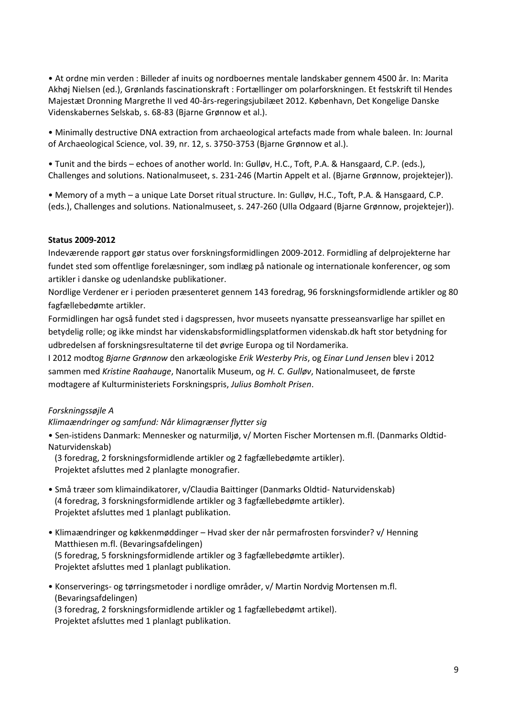• [At ordne min verden : Billeder af inuits og nordboernes mentale landskaber gennem 4500 år.](http://forskning.natmus.dk/research/at_ordne_min_verden(31685)/) In: Marita Akhøj Nielsen (ed.), Grønlands fascinationskraft : Fortællinger om polarforskningen. Et festskrift til Hendes Majestæt Dronning Margrethe II ved 40-års-regeringsjubilæet 2012. København, Det Kongelige Danske Videnskabernes Selskab, s. 68-83 (Bjarne Grønnow et al.).

• [Minimally destructive DNA extraction from archaeological artefacts made from whale baleen.](http://forskning.natmus.dk/research/minimally_destructive_dna_extraction_from_archaeological_artefacts_made_from_whale_baleen(31681)/) In: Journal of Archaeological Science, vol. 39, nr. 12, s. 3750-3753 (Bjarne Grønnow et al.).

• Tunit and the birds – echoes of another world. In: Gulløv, H.C., Toft, P.A. & Hansgaard, C.P. (eds.), Challenges and solutions. Nationalmuseet, s. 231-246 (Martin Appelt et al. (Bjarne Grønnow, projektejer)).

• Memory of a myth – a unique Late Dorset ritual structure. In: Gulløv, H.C., Toft, P.A. & Hansgaard, C.P. (eds.), Challenges and solutions. Nationalmuseet, s. 247-260 (Ulla Odgaard (Bjarne Grønnow, projektejer)).

## **Status 2009-2012**

Indeværende rapport gør status over forskningsformidlingen 2009-2012. Formidling af delprojekterne har fundet sted som offentlige forelæsninger, som indlæg på nationale og internationale konferencer, og som artikler i danske og udenlandske publikationer.

Nordlige Verdener er i perioden præsenteret gennem 143 foredrag, 96 forskningsformidlende artikler og 80 fagfællebedømte artikler.

Formidlingen har også fundet sted i dagspressen, hvor museets nyansatte presseansvarlige har spillet en betydelig rolle; og ikke mindst har videnskabsformidlingsplatformen videnskab.dk haft stor betydning for udbredelsen af forskningsresultaterne til det øvrige Europa og til Nordamerika.

I 2012 modtog *Bjarne Grønnow* den arkæologiske *Erik Westerby Pris*, og *Einar Lund Jensen* blev i 2012 sammen med *Kristine Raahauge*, Nanortalik Museum, og *H. C. Gulløv*, Nationalmuseet, de første modtagere af Kulturministeriets Forskningspris, *Julius Bomholt Prisen*.

#### *Forskningssøjle A*

#### *Klimaændringer og samfund: Når klimagrænser flytter sig*

• Sen-istidens Danmark: Mennesker og naturmiljø, v/ Morten Fischer Mortensen m.fl. (Danmarks Oldtid-Naturvidenskab)

 (3 foredrag, 2 forskningsformidlende artikler og 2 fagfællebedømte artikler). Projektet afsluttes med 2 planlagte monografier.

- Små træer som klimaindikatorer, v/Claudia Baittinger (Danmarks Oldtid- Naturvidenskab) (4 foredrag, 3 forskningsformidlende artikler og 3 fagfællebedømte artikler). Projektet afsluttes med 1 planlagt publikation.
- Klimaændringer og køkkenmøddinger Hvad sker der når permafrosten forsvinder? v/ Henning Matthiesen m.fl. (Bevaringsafdelingen) (5 foredrag, 5 forskningsformidlende artikler og 3 fagfællebedømte artikler). Projektet afsluttes med 1 planlagt publikation.
- Konserverings- og tørringsmetoder i nordlige områder, v/ Martin Nordvig Mortensen m.fl. (Bevaringsafdelingen)

 (3 foredrag, 2 forskningsformidlende artikler og 1 fagfællebedømt artikel). Projektet afsluttes med 1 planlagt publikation.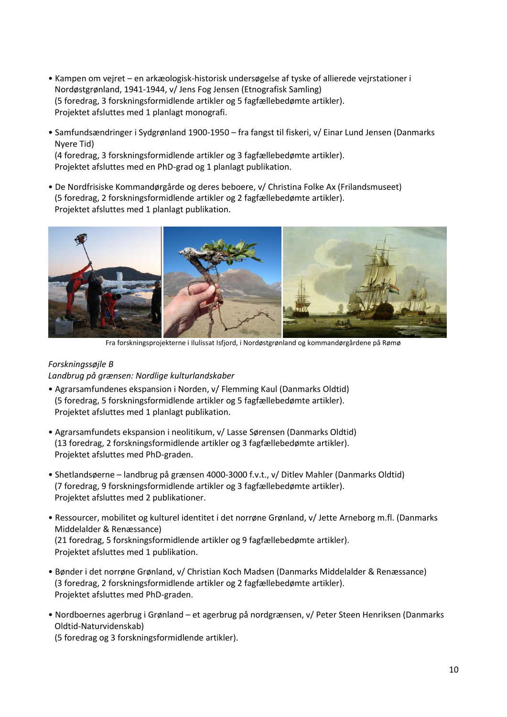- Kampen om vejret en arkæologisk-historisk undersøgelse af tyske of allierede vejrstationer i Nordøstgrønland, 1941-1944, v/ Jens Fog Jensen (Etnografisk Samling) (5 foredrag, 3 forskningsformidlende artikler og 5 fagfællebedømte artikler). Projektet afsluttes med 1 planlagt monografi.
- Samfundsændringer i Sydgrønland 1900-1950 fra fangst til fiskeri, v/ Einar Lund Jensen (Danmarks Nyere Tid) (4 foredrag, 3 forskningsformidlende artikler og 3 fagfællebedømte artikler). Projektet afsluttes med en PhD-grad og 1 planlagt publikation.
- De Nordfrisiske Kommandørgårde og deres beboere, v/ Christina Folke Ax (Frilandsmuseet) (5 foredrag, 2 forskningsformidlende artikler og 2 fagfællebedømte artikler). Projektet afsluttes med 1 planlagt publikation.



Fra forskningsprojekterne i Ilulissat Isfjord, i Nordøstgrønland og kommandørgårdene på Rømø

# *Forskningssøjle B*

# *Landbrug på grænsen: Nordlige kulturlandskaber*

- Agrarsamfundenes ekspansion i Norden, v/ Flemming Kaul (Danmarks Oldtid) (5 foredrag, 5 forskningsformidlende artikler og 5 fagfællebedømte artikler). Projektet afsluttes med 1 planlagt publikation.
- Agrarsamfundets ekspansion i neolitikum, v/ Lasse Sørensen (Danmarks Oldtid) (13 foredrag, 2 forskningsformidlende artikler og 3 fagfællebedømte artikler). Projektet afsluttes med PhD-graden.
- Shetlandsøerne landbrug på grænsen 4000-3000 f.v.t., v/ Ditlev Mahler (Danmarks Oldtid) (7 foredrag, 9 forskningsformidlende artikler og 3 fagfællebedømte artikler). Projektet afsluttes med 2 publikationer.
- Ressourcer, mobilitet og kulturel identitet i det norrøne Grønland, v/ Jette Arneborg m.fl. (Danmarks Middelalder & Renæssance) (21 foredrag, 5 forskningsformidlende artikler og 9 fagfællebedømte artikler). Projektet afsluttes med 1 publikation.
- Bønder i det norrøne Grønland, v/ Christian Koch Madsen (Danmarks Middelalder & Renæssance) (3 foredrag, 2 forskningsformidlende artikler og 2 fagfællebedømte artikler). Projektet afsluttes med PhD-graden.
- Nordboernes agerbrug i Grønland et agerbrug på nordgrænsen, v/ Peter Steen Henriksen (Danmarks Oldtid-Naturvidenskab)

(5 foredrag og 3 forskningsformidlende artikler).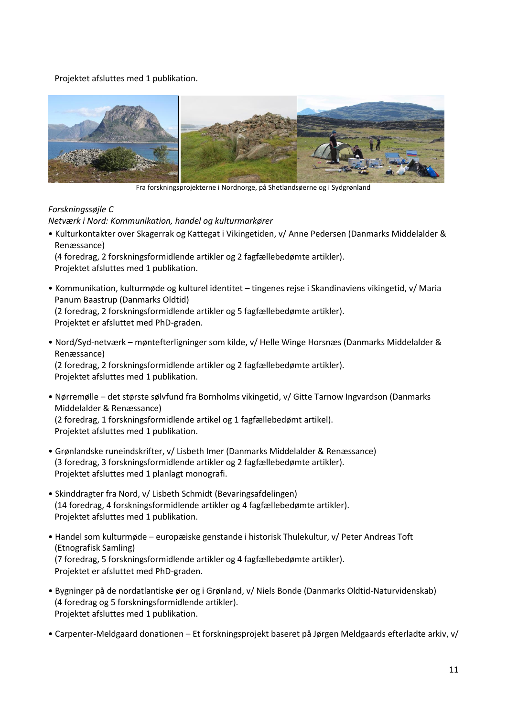Projektet afsluttes med 1 publikation.



Fra forskningsprojekterne i Nordnorge, på Shetlandsøerne og i Sydgrønland

# *Forskningssøjle C*

*Netværk i Nord: Kommunikation, handel og kulturmarkører*

• Kulturkontakter over Skagerrak og Kattegat i Vikingetiden, v/ Anne Pedersen (Danmarks Middelalder & Renæssance)

 (4 foredrag, 2 forskningsformidlende artikler og 2 fagfællebedømte artikler). Projektet afsluttes med 1 publikation.

- Kommunikation, kulturmøde og kulturel identitet tingenes rejse i Skandinaviens vikingetid, v/ Maria Panum Baastrup (Danmarks Oldtid) (2 foredrag, 2 forskningsformidlende artikler og 5 fagfællebedømte artikler). Projektet er afsluttet med PhD-graden.
- Nord/Syd-netværk møntefterligninger som kilde, v/ Helle Winge Horsnæs (Danmarks Middelalder & Renæssance) (2 foredrag, 2 forskningsformidlende artikler og 2 fagfællebedømte artikler). Projektet afsluttes med 1 publikation.
- Nørremølle det største sølvfund fra Bornholms vikingetid, v/ Gitte Tarnow Ingvardson (Danmarks Middelalder & Renæssance) (2 foredrag, 1 forskningsformidlende artikel og 1 fagfællebedømt artikel). Projektet afsluttes med 1 publikation.
- Grønlandske runeindskrifter, v/ Lisbeth Imer (Danmarks Middelalder & Renæssance) (3 foredrag, 3 forskningsformidlende artikler og 2 fagfællebedømte artikler). Projektet afsluttes med 1 planlagt monografi.
- Skinddragter fra Nord, v/ Lisbeth Schmidt (Bevaringsafdelingen) (14 foredrag, 4 forskningsformidlende artikler og 4 fagfællebedømte artikler). Projektet afsluttes med 1 publikation.
- Handel som kulturmøde europæiske genstande i historisk Thulekultur, v/ Peter Andreas Toft (Etnografisk Samling) (7 foredrag, 5 forskningsformidlende artikler og 4 fagfællebedømte artikler). Projektet er afsluttet med PhD-graden.
- Bygninger på de nordatlantiske øer og i Grønland, v/ Niels Bonde (Danmarks Oldtid-Naturvidenskab) (4 foredrag og 5 forskningsformidlende artikler). Projektet afsluttes med 1 publikation.
- Carpenter-Meldgaard donationen Et forskningsprojekt baseret på Jørgen Meldgaards efterladte arkiv, v/